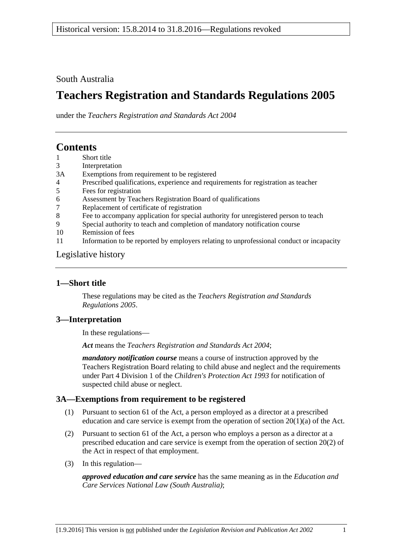# South Australia

# **Teachers Registration and Standards Regulations 2005**

under the *Teachers Registration and Standards Act 2004*

# **Contents**

- 1 [Short title](#page-0-0)
- 3 [Interpretation](#page-0-1)
- 3A [Exemptions from requirement to be registered](#page-0-2)
- 4 [Prescribed qualifications, experience and requirements for registration as teacher](#page-1-0)
- 5 [Fees for registration](#page-2-0)
- 6 [Assessment by Teachers Registration Board of qualifications](#page-2-1)
- 7 [Replacement of certificate of registration](#page-2-2)
- 8 [Fee to accompany application for special authority for unregistered person to teach](#page-3-0)
- 9 [Special authority to teach and completion of mandatory notification course](#page-3-1)
- 10 [Remission of fees](#page-3-2)
- 11 [Information to be reported by employers relating to unprofessional conduct or incapacity](#page-3-3)

## [Legislative history](#page-4-0)

# <span id="page-0-0"></span>**1—Short title**

These regulations may be cited as the *Teachers Registration and Standards Regulations 2005*.

# <span id="page-0-1"></span>**3—Interpretation**

In these regulations—

*Act* means the *[Teachers Registration and Standards Act](http://www.legislation.sa.gov.au/index.aspx?action=legref&type=act&legtitle=Teachers%20Registration%20and%20Standards%20Act%202004) 2004*;

*mandatory notification course* means a course of instruction approved by the Teachers Registration Board relating to child abuse and neglect and the requirements under Part 4 Division 1 of the *[Children's Protection Act](http://www.legislation.sa.gov.au/index.aspx?action=legref&type=act&legtitle=Childrens%20Protection%20Act%201993) 1993* for notification of suspected child abuse or neglect.

# <span id="page-0-2"></span>**3A—Exemptions from requirement to be registered**

- (1) Pursuant to section 61 of the Act, a person employed as a director at a prescribed education and care service is exempt from the operation of section  $20(1)(a)$  of the Act.
- (2) Pursuant to section 61 of the Act, a person who employs a person as a director at a prescribed education and care service is exempt from the operation of section 20(2) of the Act in respect of that employment.
- (3) In this regulation—

*approved education and care service* has the same meaning as in the *[Education and](http://www.legislation.sa.gov.au/index.aspx?action=legref&type=act&legtitle=Education%20and%20Care%20Services%20National%20Law%20(South%20Australia))  [Care Services National Law \(South Australia\)](http://www.legislation.sa.gov.au/index.aspx?action=legref&type=act&legtitle=Education%20and%20Care%20Services%20National%20Law%20(South%20Australia))*;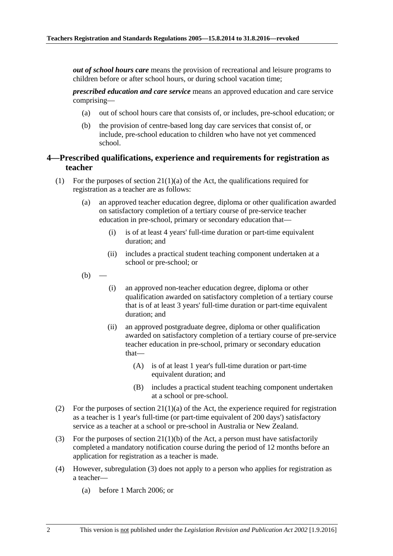*out of school hours care* means the provision of recreational and leisure programs to children before or after school hours, or during school vacation time;

*prescribed education and care service* means an approved education and care service comprising—

- (a) out of school hours care that consists of, or includes, pre-school education; or
- (b) the provision of centre-based long day care services that consist of, or include, pre-school education to children who have not yet commenced school.

#### <span id="page-1-0"></span>**4—Prescribed qualifications, experience and requirements for registration as teacher**

- <span id="page-1-2"></span>(1) For the purposes of section  $21(1)(a)$  of the Act, the qualifications required for registration as a teacher are as follows:
	- (a) an approved teacher education degree, diploma or other qualification awarded on satisfactory completion of a tertiary course of pre-service teacher education in pre-school, primary or secondary education that—
		- (i) is of at least 4 years' full-time duration or part-time equivalent duration; and
		- (ii) includes a practical student teaching component undertaken at a school or pre-school; or
	- $(b)$
- (i) an approved non-teacher education degree, diploma or other qualification awarded on satisfactory completion of a tertiary course that is of at least 3 years' full-time duration or part-time equivalent duration; and
- (ii) an approved postgraduate degree, diploma or other qualification awarded on satisfactory completion of a tertiary course of pre-service teacher education in pre-school, primary or secondary education that—
	- (A) is of at least 1 year's full-time duration or part-time equivalent duration; and
	- (B) includes a practical student teaching component undertaken at a school or pre-school.
- (2) For the purposes of section  $21(1)(a)$  of the Act, the experience required for registration as a teacher is 1 year's full-time (or part-time equivalent of 200 days') satisfactory service as a teacher at a school or pre-school in Australia or New Zealand.
- <span id="page-1-1"></span>(3) For the purposes of section 21(1)(b) of the Act, a person must have satisfactorily completed a mandatory notification course during the period of 12 months before an application for registration as a teacher is made.
- (4) However, [subregulation](#page-1-1) (3) does not apply to a person who applies for registration as a teacher—
	- (a) before 1 March 2006; or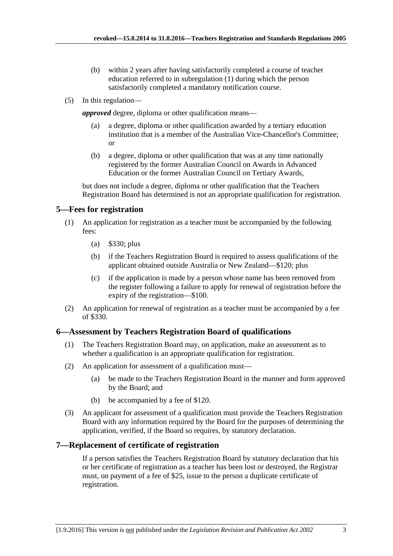- (b) within 2 years after having satisfactorily completed a course of teacher education referred to in [subregulation](#page-1-2) (1) during which the person satisfactorily completed a mandatory notification course.
- (5) In this regulation—

*approved* degree, diploma or other qualification means—

- a degree, diploma or other qualification awarded by a tertiary education institution that is a member of the Australian Vice-Chancellor's Committee; or
- (b) a degree, diploma or other qualification that was at any time nationally registered by the former Australian Council on Awards in Advanced Education or the former Australian Council on Tertiary Awards,

but does not include a degree, diploma or other qualification that the Teachers Registration Board has determined is not an appropriate qualification for registration.

## <span id="page-2-0"></span>**5—Fees for registration**

- (1) An application for registration as a teacher must be accompanied by the following fees:
	- (a) \$330; plus
	- (b) if the Teachers Registration Board is required to assess qualifications of the applicant obtained outside Australia or New Zealand—\$120; plus
	- (c) if the application is made by a person whose name has been removed from the register following a failure to apply for renewal of registration before the expiry of the registration—\$100.
- (2) An application for renewal of registration as a teacher must be accompanied by a fee of \$330.

# <span id="page-2-1"></span>**6—Assessment by Teachers Registration Board of qualifications**

- (1) The Teachers Registration Board may, on application, make an assessment as to whether a qualification is an appropriate qualification for registration.
- (2) An application for assessment of a qualification must—
	- (a) be made to the Teachers Registration Board in the manner and form approved by the Board; and
	- (b) be accompanied by a fee of \$120.
- (3) An applicant for assessment of a qualification must provide the Teachers Registration Board with any information required by the Board for the purposes of determining the application, verified, if the Board so requires, by statutory declaration.

# <span id="page-2-2"></span>**7—Replacement of certificate of registration**

If a person satisfies the Teachers Registration Board by statutory declaration that his or her certificate of registration as a teacher has been lost or destroyed, the Registrar must, on payment of a fee of \$25, issue to the person a duplicate certificate of registration.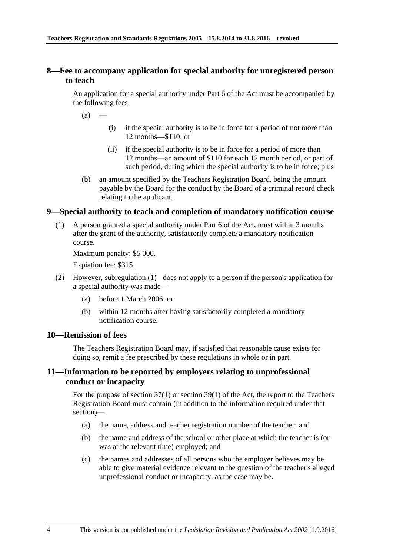### <span id="page-3-0"></span>**8—Fee to accompany application for special authority for unregistered person to teach**

An application for a special authority under Part 6 of the Act must be accompanied by the following fees:

 $(a)$ 

- (i) if the special authority is to be in force for a period of not more than 12 months—\$110; or
- (ii) if the special authority is to be in force for a period of more than 12 months—an amount of \$110 for each 12 month period, or part of such period, during which the special authority is to be in force; plus
- (b) an amount specified by the Teachers Registration Board, being the amount payable by the Board for the conduct by the Board of a criminal record check relating to the applicant.

#### <span id="page-3-4"></span><span id="page-3-1"></span>**9—Special authority to teach and completion of mandatory notification course**

(1) A person granted a special authority under Part 6 of the Act, must within 3 months after the grant of the authority, satisfactorily complete a mandatory notification course.

Maximum penalty: \$5 000.

Expiation fee: \$315.

- (2) However, [subregulation](#page-3-4) (1) does not apply to a person if the person's application for a special authority was made—
	- (a) before 1 March 2006; or
	- (b) within 12 months after having satisfactorily completed a mandatory notification course.

#### <span id="page-3-2"></span>**10—Remission of fees**

The Teachers Registration Board may, if satisfied that reasonable cause exists for doing so, remit a fee prescribed by these regulations in whole or in part.

### <span id="page-3-3"></span>**11—Information to be reported by employers relating to unprofessional conduct or incapacity**

For the purpose of section 37(1) or section 39(1) of the Act, the report to the Teachers Registration Board must contain (in addition to the information required under that section)—

- (a) the name, address and teacher registration number of the teacher; and
- (b) the name and address of the school or other place at which the teacher is (or was at the relevant time) employed; and
- (c) the names and addresses of all persons who the employer believes may be able to give material evidence relevant to the question of the teacher's alleged unprofessional conduct or incapacity, as the case may be.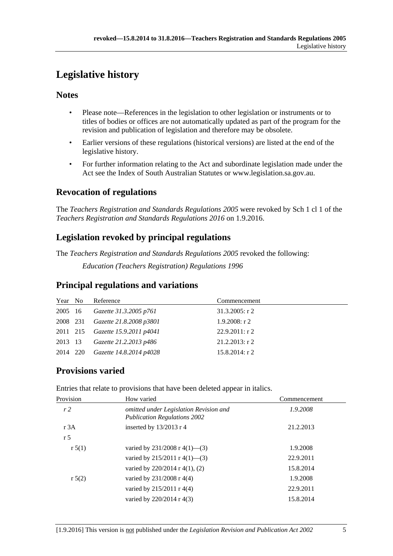# <span id="page-4-0"></span>**Legislative history**

# **Notes**

- Please note—References in the legislation to other legislation or instruments or to titles of bodies or offices are not automatically updated as part of the program for the revision and publication of legislation and therefore may be obsolete.
- Earlier versions of these regulations (historical versions) are listed at the end of the legislative history.
- For further information relating to the Act and subordinate legislation made under the Act see the Index of South Australian Statutes or www.legislation.sa.gov.au.

# **Revocation of regulations**

The *Teachers Registration and Standards Regulations 2005* were revoked by Sch 1 cl 1 of the *Teachers Registration and Standards Regulations 2016* on 1.9.2016.

# **Legislation revoked by principal regulations**

The *Teachers Registration and Standards Regulations 2005* revoked the following: *Education (Teachers Registration) Regulations 1996*

# **Principal regulations and variations**

| Year No  | Reference                               | Commencement      |
|----------|-----------------------------------------|-------------------|
| 2005 16  | Gazette 31.3.2005 p761                  | $31.3.2005$ : r 2 |
| 2008 231 | Gazette 21.8.2008 p3801                 | $1.9.2008:$ r 2   |
|          | 2011 215 <i>Gazette 15.9.2011 p4041</i> | 22.9.2011: r2     |
| 2013 13  | Gazette 21.2.2013 p486                  | $21.2.2013$ : r 2 |
| 2014 220 | Gazette 14.8.2014 p4028                 | $15.8.2014$ : r 2 |

# **Provisions varied**

| Provision      | How varied                                                                    | Commencement |
|----------------|-------------------------------------------------------------------------------|--------------|
| r2             | omitted under Legislation Revision and<br><b>Publication Regulations 2002</b> | 1.9.2008     |
| r 3A           | inserted by 13/2013 r 4                                                       | 21.2.2013    |
| r <sub>5</sub> |                                                                               |              |
| r 5(1)         | varied by $231/2008$ r $4(1)$ —(3)                                            | 1.9.2008     |
|                | varied by $215/2011$ r $4(1)$ —(3)                                            | 22.9.2011    |
|                | varied by $220/2014$ r 4(1), (2)                                              | 15.8.2014    |
| r 5(2)         | varied by 231/2008 r 4(4)                                                     | 1.9.2008     |
|                | varied by 215/2011 r 4(4)                                                     | 22.9.2011    |
|                | varied by 220/2014 r 4(3)                                                     | 15.8.2014    |

Entries that relate to provisions that have been deleted appear in italics.